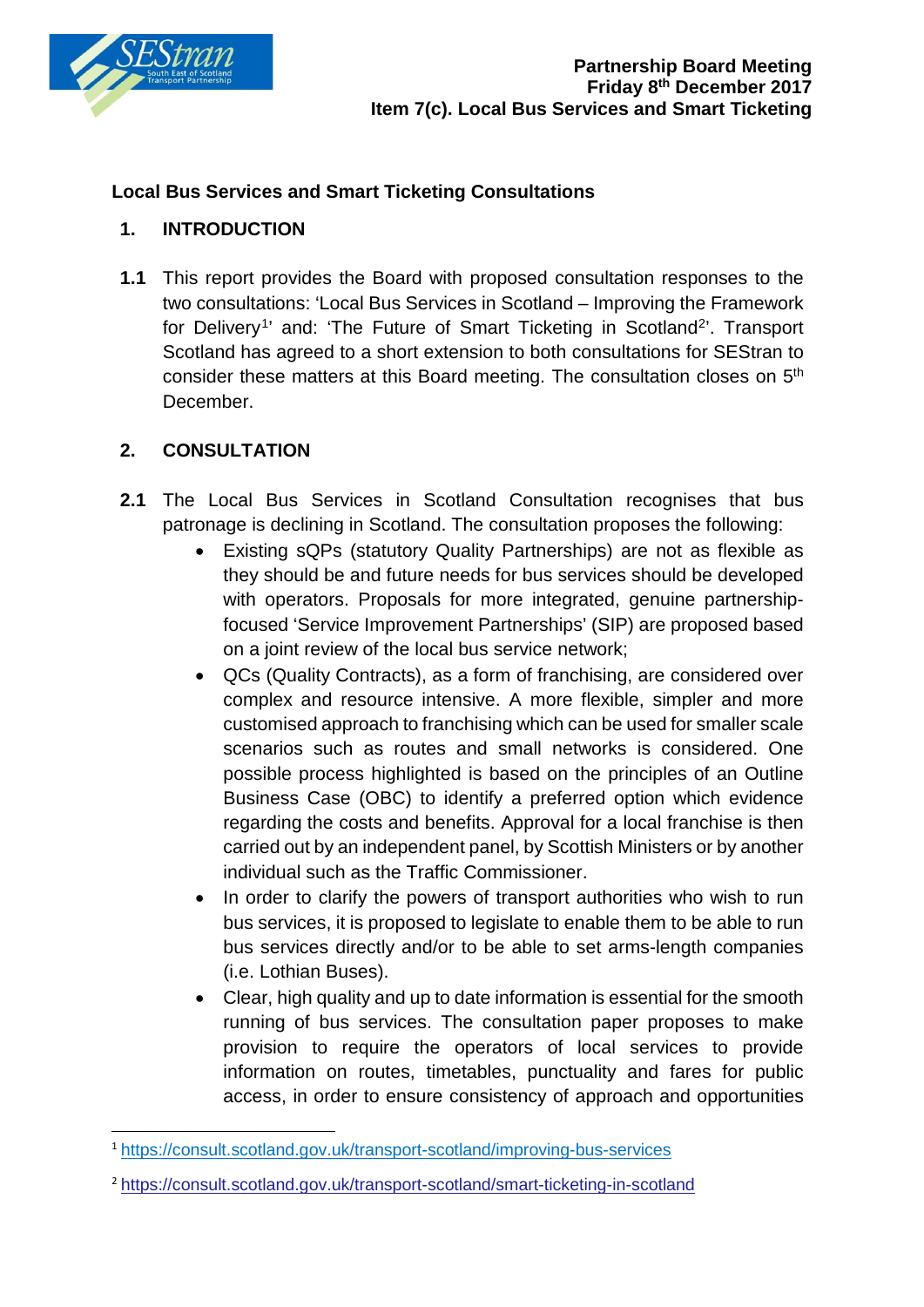

### **Local Bus Services and Smart Ticketing Consultations**

### **1. INTRODUCTION**

**1.1** This report provides the Board with proposed consultation responses to the two consultations: 'Local Bus Services in Scotland – Improving the Framework for Delivery<sup>[1](#page-0-0)</sup>' and: 'The Future of Smart Ticketing in Scotland<sup>2</sup>'. Transport Scotland has agreed to a short extension to both consultations for SEStran to consider these matters at this Board meeting. The consultation closes on 5th December.

## **2. CONSULTATION**

- **2.1** The Local Bus Services in Scotland Consultation recognises that bus patronage is declining in Scotland. The consultation proposes the following:
	- Existing sQPs (statutory Quality Partnerships) are not as flexible as they should be and future needs for bus services should be developed with operators. Proposals for more integrated, genuine partnershipfocused 'Service Improvement Partnerships' (SIP) are proposed based on a joint review of the local bus service network;
	- QCs (Quality Contracts), as a form of franchising, are considered over complex and resource intensive. A more flexible, simpler and more customised approach to franchising which can be used for smaller scale scenarios such as routes and small networks is considered. One possible process highlighted is based on the principles of an Outline Business Case (OBC) to identify a preferred option which evidence regarding the costs and benefits. Approval for a local franchise is then carried out by an independent panel, by Scottish Ministers or by another individual such as the Traffic Commissioner.
	- In order to clarify the powers of transport authorities who wish to run bus services, it is proposed to legislate to enable them to be able to run bus services directly and/or to be able to set arms-length companies (i.e. Lothian Buses).
	- Clear, high quality and up to date information is essential for the smooth running of bus services. The consultation paper proposes to make provision to require the operators of local services to provide information on routes, timetables, punctuality and fares for public access, in order to ensure consistency of approach and opportunities

<span id="page-0-0"></span> <sup>1</sup> <https://consult.scotland.gov.uk/transport-scotland/improving-bus-services>

<span id="page-0-1"></span><sup>2</sup> <https://consult.scotland.gov.uk/transport-scotland/smart-ticketing-in-scotland>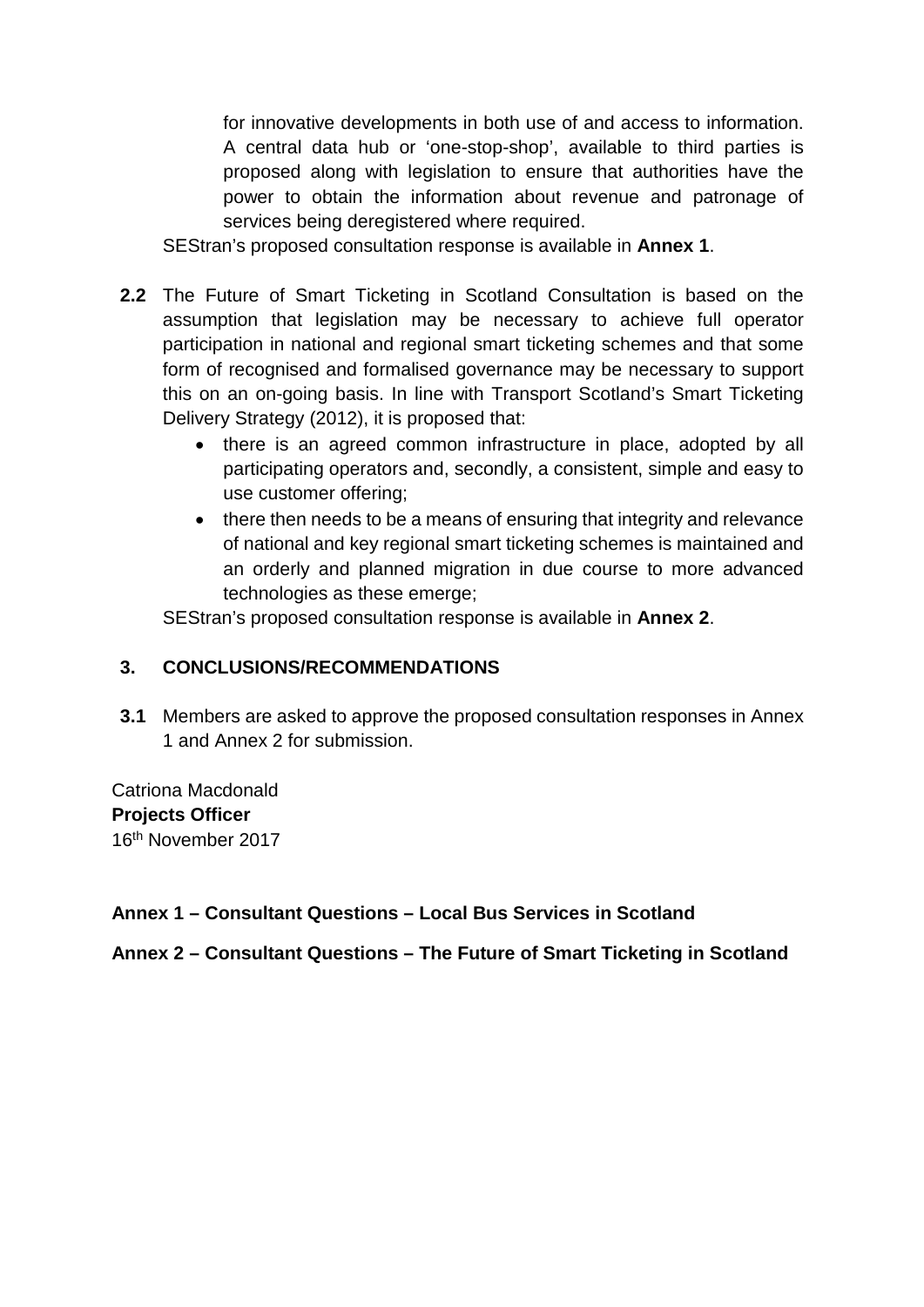for innovative developments in both use of and access to information. A central data hub or 'one-stop-shop', available to third parties is proposed along with legislation to ensure that authorities have the power to obtain the information about revenue and patronage of services being deregistered where required.

SEStran's proposed consultation response is available in **Annex 1**.

- **2.2** The Future of Smart Ticketing in Scotland Consultation is based on the assumption that legislation may be necessary to achieve full operator participation in national and regional smart ticketing schemes and that some form of recognised and formalised governance may be necessary to support this on an on-going basis. In line with Transport Scotland's Smart Ticketing Delivery Strategy (2012), it is proposed that:
	- there is an agreed common infrastructure in place, adopted by all participating operators and, secondly, a consistent, simple and easy to use customer offering;
	- there then needs to be a means of ensuring that integrity and relevance of national and key regional smart ticketing schemes is maintained and an orderly and planned migration in due course to more advanced technologies as these emerge;

SEStran's proposed consultation response is available in **Annex 2**.

### **3. CONCLUSIONS/RECOMMENDATIONS**

**3.1** Members are asked to approve the proposed consultation responses in Annex 1 and Annex 2 for submission.

Catriona Macdonald **Projects Officer** 16th November 2017

### **Annex 1 – Consultant Questions – Local Bus Services in Scotland**

**Annex 2 – Consultant Questions – The Future of Smart Ticketing in Scotland**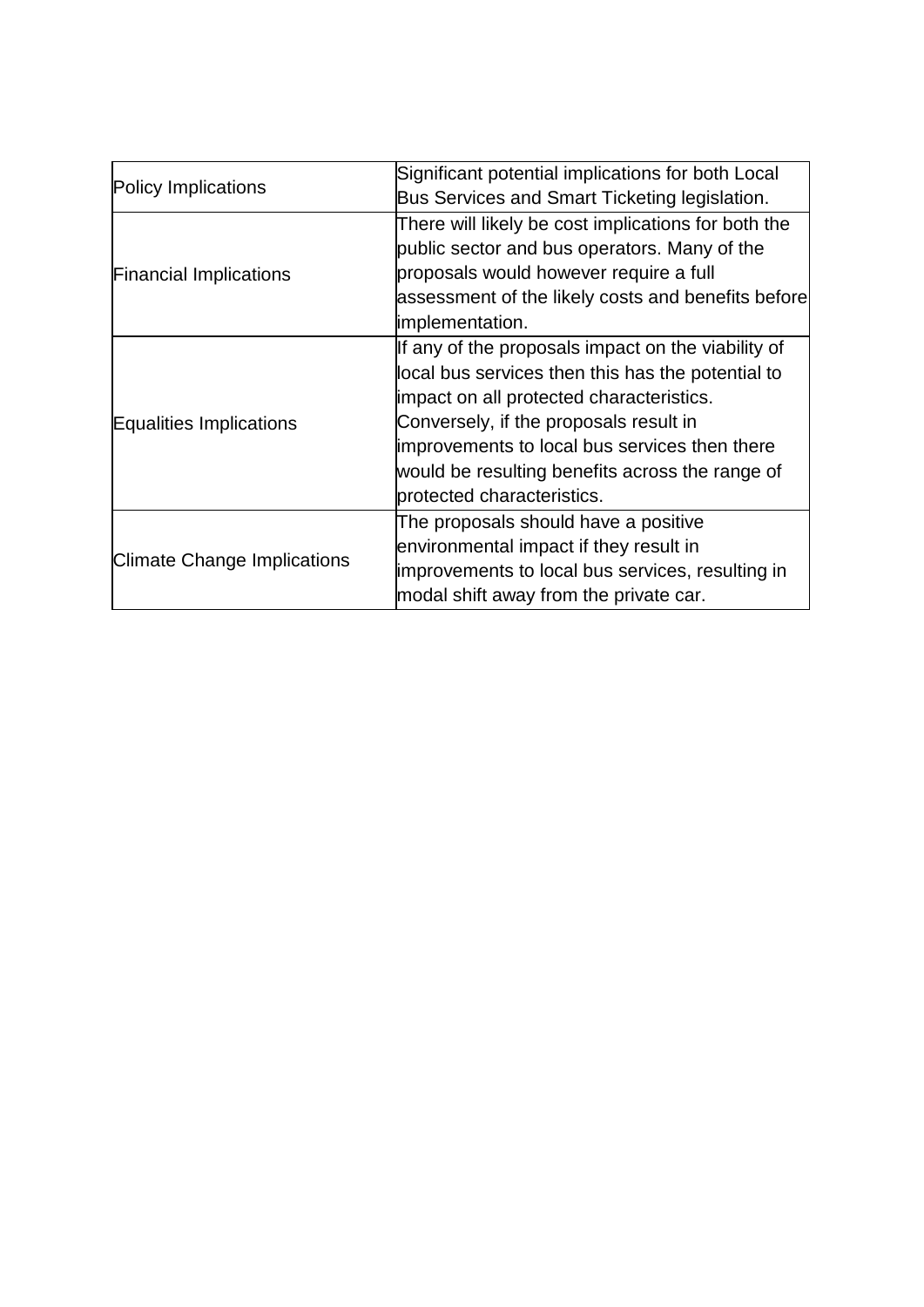| Policy Implications                | Significant potential implications for both Local   |
|------------------------------------|-----------------------------------------------------|
|                                    | Bus Services and Smart Ticketing legislation.       |
| <b>Financial Implications</b>      | There will likely be cost implications for both the |
|                                    | public sector and bus operators. Many of the        |
|                                    | proposals would however require a full              |
|                                    | assessment of the likely costs and benefits before  |
|                                    | implementation.                                     |
| Equalities Implications            | If any of the proposals impact on the viability of  |
|                                    | local bus services then this has the potential to   |
|                                    | impact on all protected characteristics.            |
|                                    | Conversely, if the proposals result in              |
|                                    | improvements to local bus services then there       |
|                                    | would be resulting benefits across the range of     |
|                                    | protected characteristics.                          |
| <b>Climate Change Implications</b> | The proposals should have a positive                |
|                                    | environmental impact if they result in              |
|                                    | improvements to local bus services, resulting in    |
|                                    | modal shift away from the private car.              |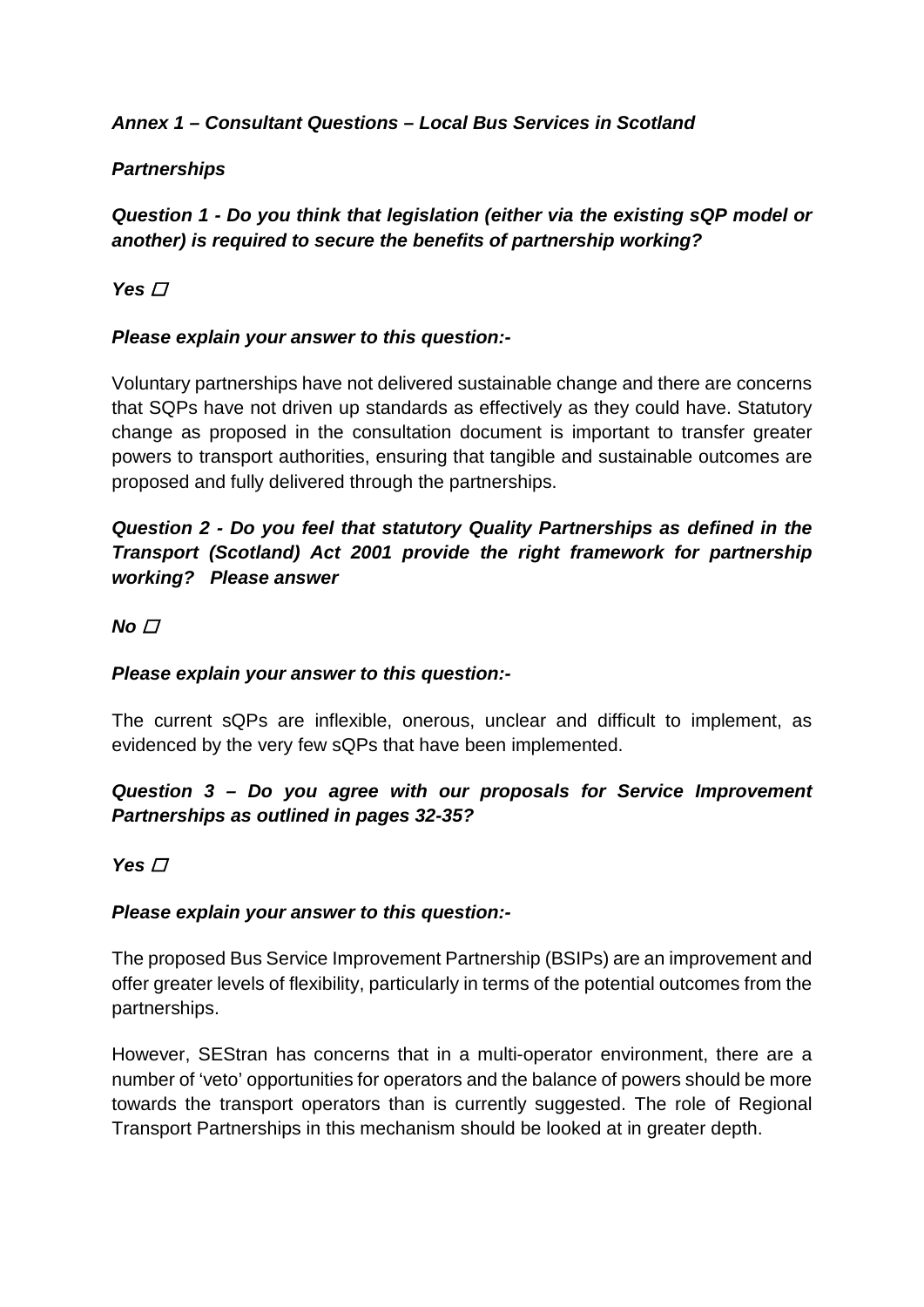## *Annex 1 – Consultant Questions – Local Bus Services in Scotland*

## *Partnerships*

# *Question 1 - Do you think that legislation (either via the existing sQP model or another) is required to secure the benefits of partnership working?*

# Yes **□**

### *Please explain your answer to this question:-*

Voluntary partnerships have not delivered sustainable change and there are concerns that SQPs have not driven up standards as effectively as they could have. Statutory change as proposed in the consultation document is important to transfer greater powers to transport authorities, ensuring that tangible and sustainable outcomes are proposed and fully delivered through the partnerships.

# *Question 2 - Do you feel that statutory Quality Partnerships as defined in the Transport (Scotland) Act 2001 provide the right framework for partnership working? Please answer*

### $No<sub>1</sub>$

### *Please explain your answer to this question:-*

The current sQPs are inflexible, onerous, unclear and difficult to implement, as evidenced by the very few sQPs that have been implemented.

# *Question 3 – Do you agree with our proposals for Service Improvement Partnerships as outlined in pages 32-35?*

### Yes  $\Box$

### *Please explain your answer to this question:-*

The proposed Bus Service Improvement Partnership (BSIPs) are an improvement and offer greater levels of flexibility, particularly in terms of the potential outcomes from the partnerships.

However, SEStran has concerns that in a multi-operator environment, there are a number of 'veto' opportunities for operators and the balance of powers should be more towards the transport operators than is currently suggested. The role of Regional Transport Partnerships in this mechanism should be looked at in greater depth.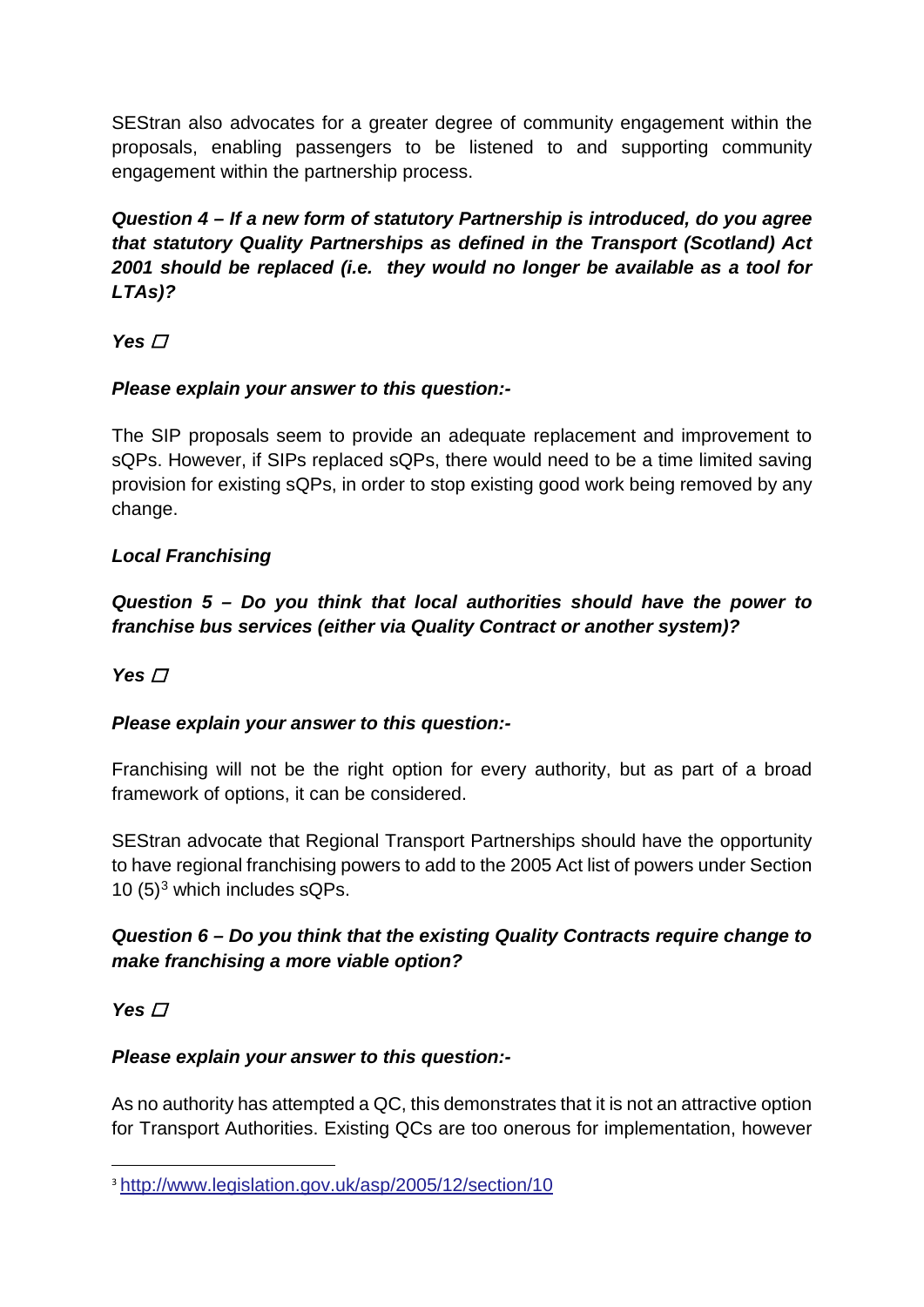SEStran also advocates for a greater degree of community engagement within the proposals, enabling passengers to be listened to and supporting community engagement within the partnership process.

*Question 4 – If a new form of statutory Partnership is introduced, do you agree that statutory Quality Partnerships as defined in the Transport (Scotland) Act 2001 should be replaced (i.e. they would no longer be available as a tool for LTAs)?*

Yes  $\Box$ 

# *Please explain your answer to this question:-*

The SIP proposals seem to provide an adequate replacement and improvement to sQPs. However, if SIPs replaced sQPs, there would need to be a time limited saving provision for existing sQPs, in order to stop existing good work being removed by any change.

# *Local Franchising*

*Question 5 – Do you think that local authorities should have the power to franchise bus services (either via Quality Contract or another system)?* 

# Yes  $\Box$

# *Please explain your answer to this question:-*

Franchising will not be the right option for every authority, but as part of a broad framework of options, it can be considered.

SEStran advocate that Regional Transport Partnerships should have the opportunity to have regional franchising powers to add to the 2005 Act list of powers under Section 10  $(5)^3$  $(5)^3$  which includes sQPs.

# *Question 6 – Do you think that the existing Quality Contracts require change to make franchising a more viable option?*

# **Yes** *□*

# *Please explain your answer to this question:-*

As no authority has attempted a QC, this demonstrates that it is not an attractive option for Transport Authorities. Existing QCs are too onerous for implementation, however

<span id="page-4-0"></span> <sup>3</sup> <http://www.legislation.gov.uk/asp/2005/12/section/10>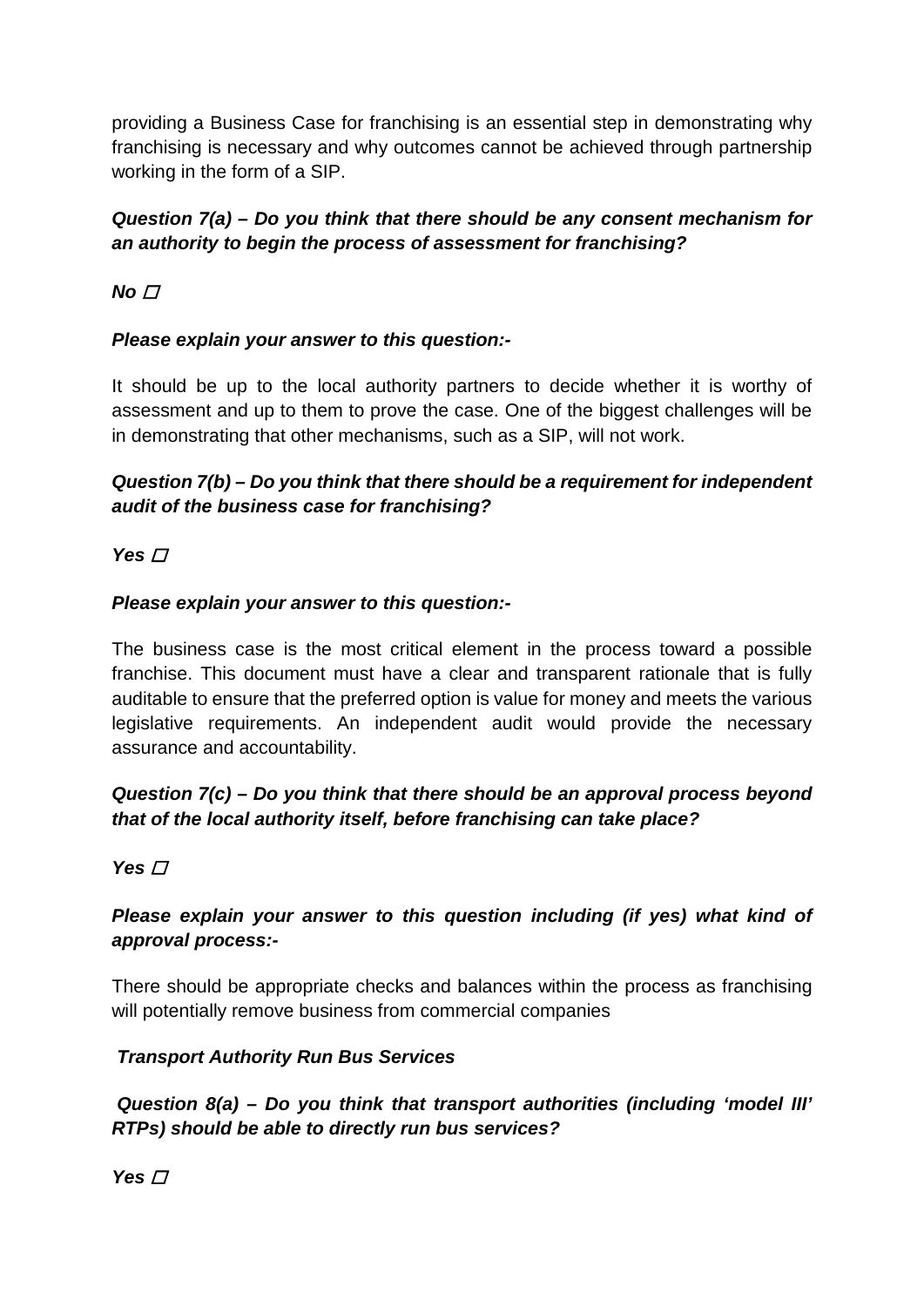providing a Business Case for franchising is an essential step in demonstrating why franchising is necessary and why outcomes cannot be achieved through partnership working in the form of a SIP.

# *Question 7(a) – Do you think that there should be any consent mechanism for an authority to begin the process of assessment for franchising?*

# $No<sub>1</sub>$

### *Please explain your answer to this question:-*

It should be up to the local authority partners to decide whether it is worthy of assessment and up to them to prove the case. One of the biggest challenges will be in demonstrating that other mechanisms, such as a SIP, will not work.

# *Question 7(b) – Do you think that there should be a requirement for independent audit of the business case for franchising?*

## Yes  $\Box$

### *Please explain your answer to this question:-*

The business case is the most critical element in the process toward a possible franchise. This document must have a clear and transparent rationale that is fully auditable to ensure that the preferred option is value for money and meets the various legislative requirements. An independent audit would provide the necessary assurance and accountability.

# *Question 7(c) – Do you think that there should be an approval process beyond that of the local authority itself, before franchising can take place?*

### Yes  $\Pi$

# *Please explain your answer to this question including (if yes) what kind of approval process:-*

There should be appropriate checks and balances within the process as franchising will potentially remove business from commercial companies

### *Transport Authority Run Bus Services*

*Question 8(a) – Do you think that transport authorities (including 'model III' RTPs) should be able to directly run bus services?*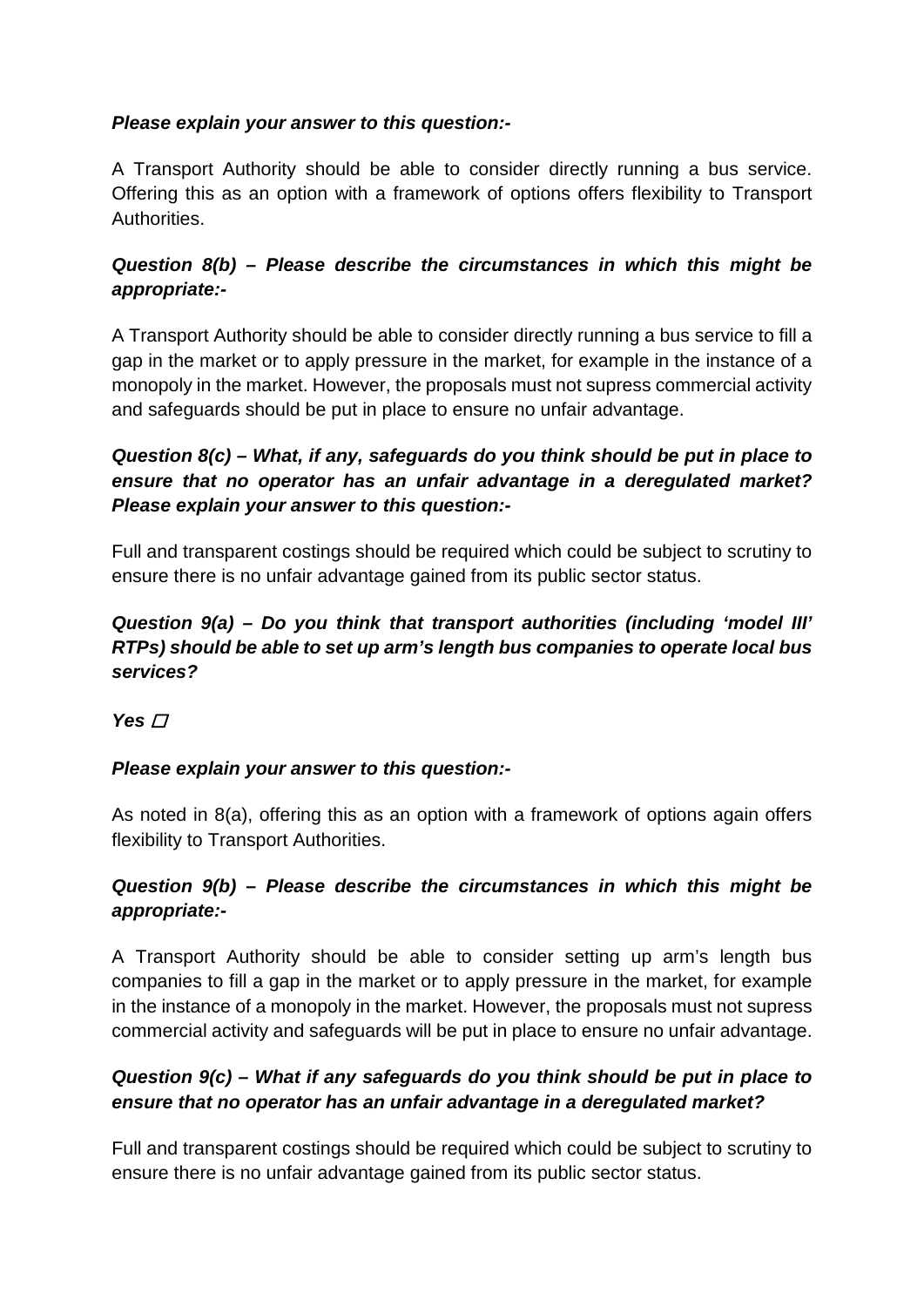## *Please explain your answer to this question:-*

A Transport Authority should be able to consider directly running a bus service. Offering this as an option with a framework of options offers flexibility to Transport Authorities.

# *Question 8(b) – Please describe the circumstances in which this might be appropriate:-*

A Transport Authority should be able to consider directly running a bus service to fill a gap in the market or to apply pressure in the market, for example in the instance of a monopoly in the market. However, the proposals must not supress commercial activity and safeguards should be put in place to ensure no unfair advantage.

# *Question 8(c) – What, if any, safeguards do you think should be put in place to ensure that no operator has an unfair advantage in a deregulated market? Please explain your answer to this question:-*

Full and transparent costings should be required which could be subject to scrutiny to ensure there is no unfair advantage gained from its public sector status.

## *Question 9(a) – Do you think that transport authorities (including 'model III' RTPs) should be able to set up arm's length bus companies to operate local bus services?*

**Yes** *□* 

# *Please explain your answer to this question:-*

As noted in 8(a), offering this as an option with a framework of options again offers flexibility to Transport Authorities.

## *Question 9(b) – Please describe the circumstances in which this might be appropriate:-*

A Transport Authority should be able to consider setting up arm's length bus companies to fill a gap in the market or to apply pressure in the market, for example in the instance of a monopoly in the market. However, the proposals must not supress commercial activity and safeguards will be put in place to ensure no unfair advantage.

## *Question 9(c) – What if any safeguards do you think should be put in place to ensure that no operator has an unfair advantage in a deregulated market?*

Full and transparent costings should be required which could be subject to scrutiny to ensure there is no unfair advantage gained from its public sector status.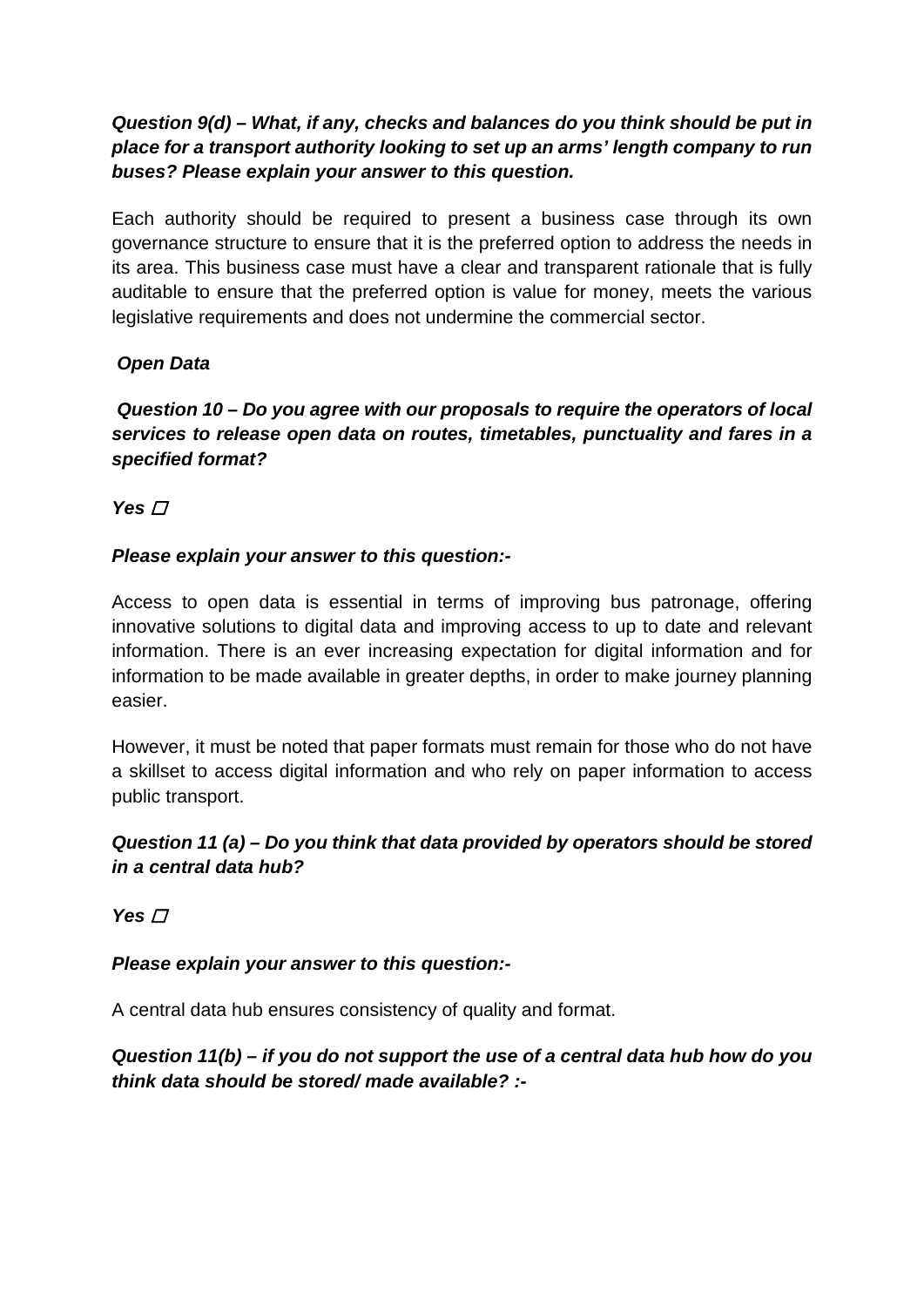## *Question 9(d) – What, if any, checks and balances do you think should be put in place for a transport authority looking to set up an arms' length company to run buses? Please explain your answer to this question.*

Each authority should be required to present a business case through its own governance structure to ensure that it is the preferred option to address the needs in its area. This business case must have a clear and transparent rationale that is fully auditable to ensure that the preferred option is value for money, meets the various legislative requirements and does not undermine the commercial sector.

# *Open Data*

*Question 10 – Do you agree with our proposals to require the operators of local services to release open data on routes, timetables, punctuality and fares in a specified format?* 

Yes  $\Box$ 

## *Please explain your answer to this question:-*

Access to open data is essential in terms of improving bus patronage, offering innovative solutions to digital data and improving access to up to date and relevant information. There is an ever increasing expectation for digital information and for information to be made available in greater depths, in order to make journey planning easier.

However, it must be noted that paper formats must remain for those who do not have a skillset to access digital information and who rely on paper information to access public transport.

# *Question 11 (a) – Do you think that data provided by operators should be stored in a central data hub?*

 $Yes \nT$ 

### *Please explain your answer to this question:-*

A central data hub ensures consistency of quality and format.

# *Question 11(b) – if you do not support the use of a central data hub how do you think data should be stored/ made available? :-*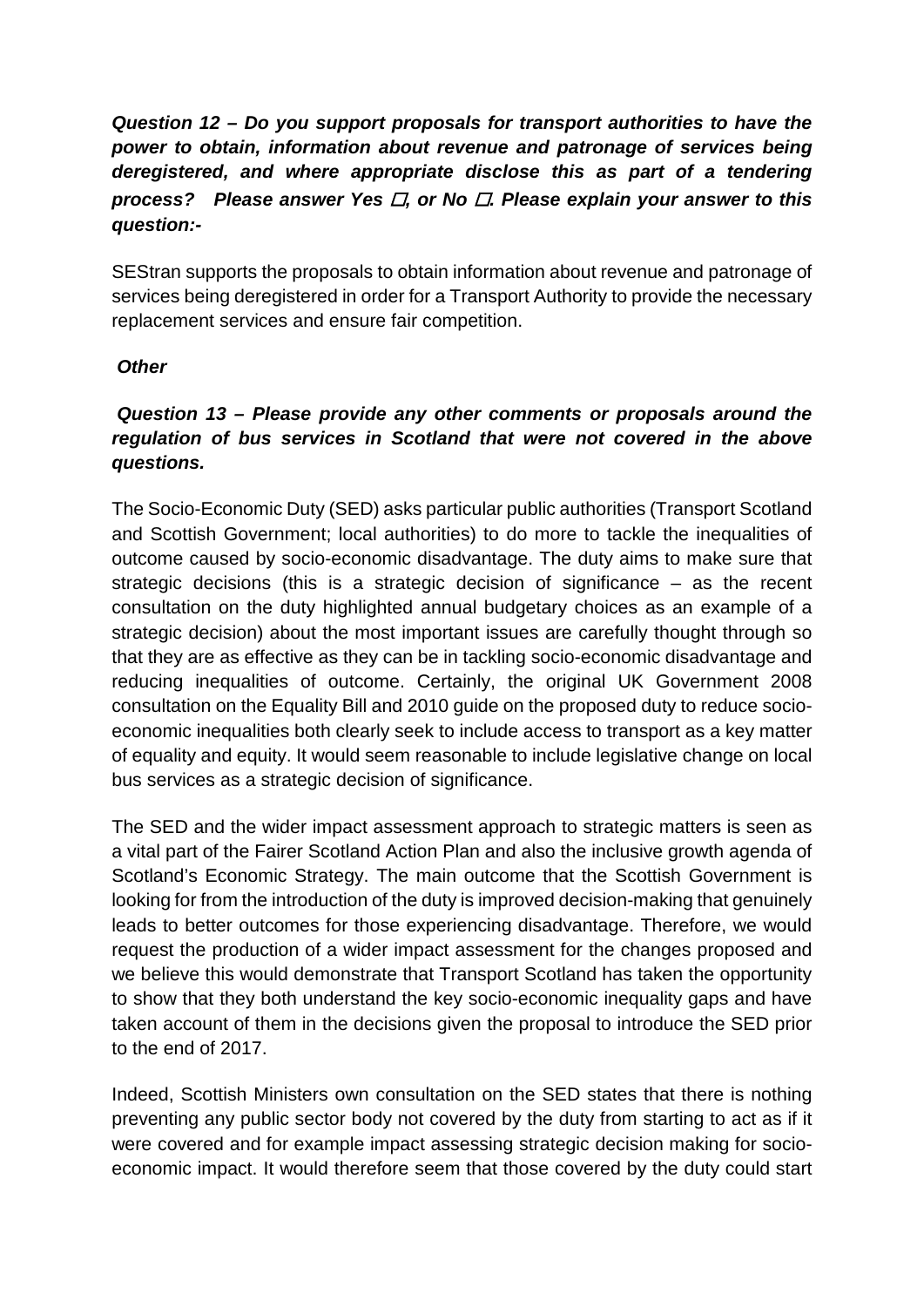# *Question 12 – Do you support proposals for transport authorities to have the power to obtain, information about revenue and patronage of services being deregistered, and where appropriate disclose this as part of a tendering process? Please answer Yes* ☐*, or No* ☐*. Please explain your answer to this question:-*

SEStran supports the proposals to obtain information about revenue and patronage of services being deregistered in order for a Transport Authority to provide the necessary replacement services and ensure fair competition.

#### *Other*

# *Question 13 – Please provide any other comments or proposals around the regulation of bus services in Scotland that were not covered in the above questions.*

The Socio-Economic Duty (SED) asks particular public authorities (Transport Scotland and Scottish Government; local authorities) to do more to tackle the inequalities of outcome caused by socio-economic disadvantage. The duty aims to make sure that strategic decisions (this is a strategic decision of significance – as the recent consultation on the duty highlighted annual budgetary choices as an example of a strategic decision) about the most important issues are carefully thought through so that they are as effective as they can be in tackling socio-economic disadvantage and reducing inequalities of outcome. Certainly, the original UK Government 2008 consultation on the Equality Bill and 2010 guide on the proposed duty to reduce socioeconomic inequalities both clearly seek to include access to transport as a key matter of equality and equity. It would seem reasonable to include legislative change on local bus services as a strategic decision of significance.

The SED and the wider impact assessment approach to strategic matters is seen as a vital part of the Fairer Scotland Action Plan and also the inclusive growth agenda of Scotland's Economic Strategy. The main outcome that the Scottish Government is looking for from the introduction of the duty is improved decision-making that genuinely leads to better outcomes for those experiencing disadvantage. Therefore, we would request the production of a wider impact assessment for the changes proposed and we believe this would demonstrate that Transport Scotland has taken the opportunity to show that they both understand the key socio-economic inequality gaps and have taken account of them in the decisions given the proposal to introduce the SED prior to the end of 2017.

Indeed, Scottish Ministers own consultation on the SED states that there is nothing preventing any public sector body not covered by the duty from starting to act as if it were covered and for example impact assessing strategic decision making for socioeconomic impact. It would therefore seem that those covered by the duty could start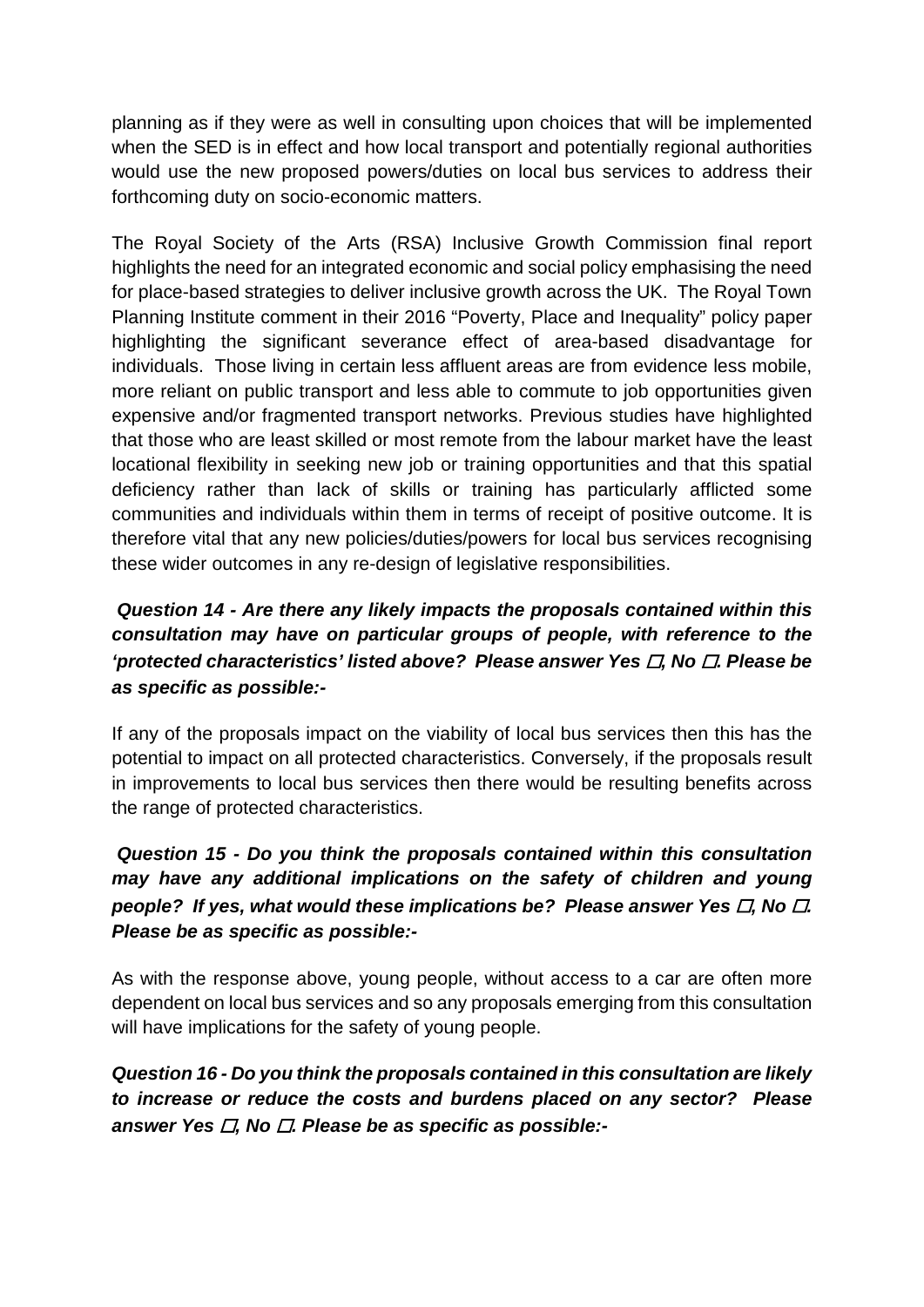planning as if they were as well in consulting upon choices that will be implemented when the SED is in effect and how local transport and potentially regional authorities would use the new proposed powers/duties on local bus services to address their forthcoming duty on socio-economic matters.

The Royal Society of the Arts (RSA) Inclusive Growth Commission final report highlights the need for an integrated economic and social policy emphasising the need for place-based strategies to deliver inclusive growth across the UK. The Royal Town Planning Institute comment in their 2016 "Poverty, Place and Inequality" policy paper highlighting the significant severance effect of area-based disadvantage for individuals. Those living in certain less affluent areas are from evidence less mobile, more reliant on public transport and less able to commute to job opportunities given expensive and/or fragmented transport networks. Previous studies have highlighted that those who are least skilled or most remote from the labour market have the least locational flexibility in seeking new job or training opportunities and that this spatial deficiency rather than lack of skills or training has particularly afflicted some communities and individuals within them in terms of receipt of positive outcome. It is therefore vital that any new policies/duties/powers for local bus services recognising these wider outcomes in any re-design of legislative responsibilities.

# *Question 14 - Are there any likely impacts the proposals contained within this consultation may have on particular groups of people, with reference to the 'protected characteristics' listed above? Please answer Yes* ☐*, No* ☐*. Please be as specific as possible:-*

If any of the proposals impact on the viability of local bus services then this has the potential to impact on all protected characteristics. Conversely, if the proposals result in improvements to local bus services then there would be resulting benefits across the range of protected characteristics.

# *Question 15 - Do you think the proposals contained within this consultation may have any additional implications on the safety of children and young people? If yes, what would these implications be? Please answer Yes □, No □. Please be as specific as possible:-*

As with the response above, young people, without access to a car are often more dependent on local bus services and so any proposals emerging from this consultation will have implications for the safety of young people.

*Question 16 - Do you think the proposals contained in this consultation are likely to increase or reduce the costs and burdens placed on any sector? Please answer Yes* ☐*, No* ☐*. Please be as specific as possible:-*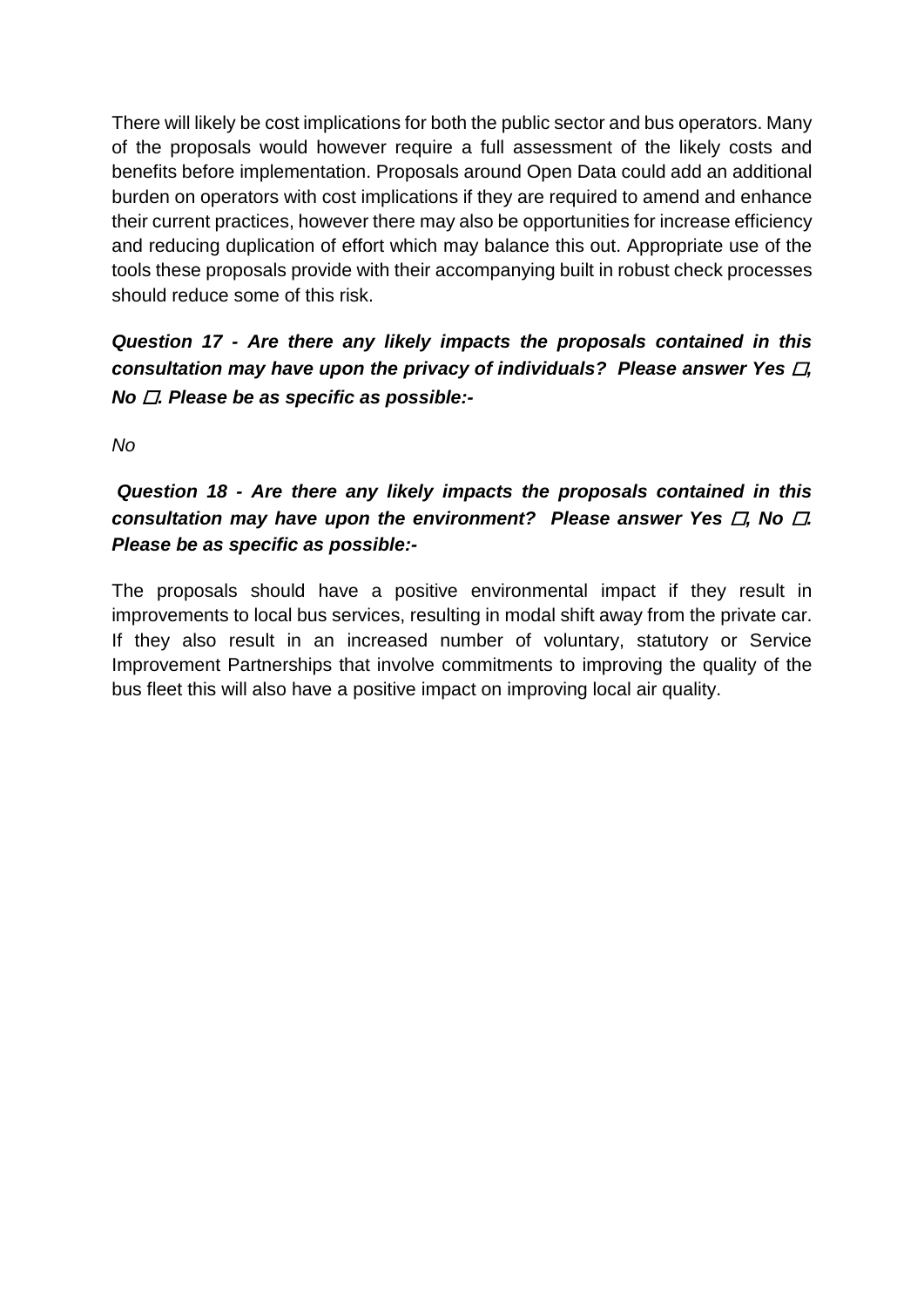There will likely be cost implications for both the public sector and bus operators. Many of the proposals would however require a full assessment of the likely costs and benefits before implementation. Proposals around Open Data could add an additional burden on operators with cost implications if they are required to amend and enhance their current practices, however there may also be opportunities for increase efficiency and reducing duplication of effort which may balance this out. Appropriate use of the tools these proposals provide with their accompanying built in robust check processes should reduce some of this risk.

*Question 17 - Are there any likely impacts the proposals contained in this consultation may have upon the privacy of individuals? Please answer Yes □, No* ☐*. Please be as specific as possible:-*

*No*

# *Question 18 - Are there any likely impacts the proposals contained in this consultation may have upon the environment? Please answer Yes □, No □. Please be as specific as possible:-*

The proposals should have a positive environmental impact if they result in improvements to local bus services, resulting in modal shift away from the private car. If they also result in an increased number of voluntary, statutory or Service Improvement Partnerships that involve commitments to improving the quality of the bus fleet this will also have a positive impact on improving local air quality.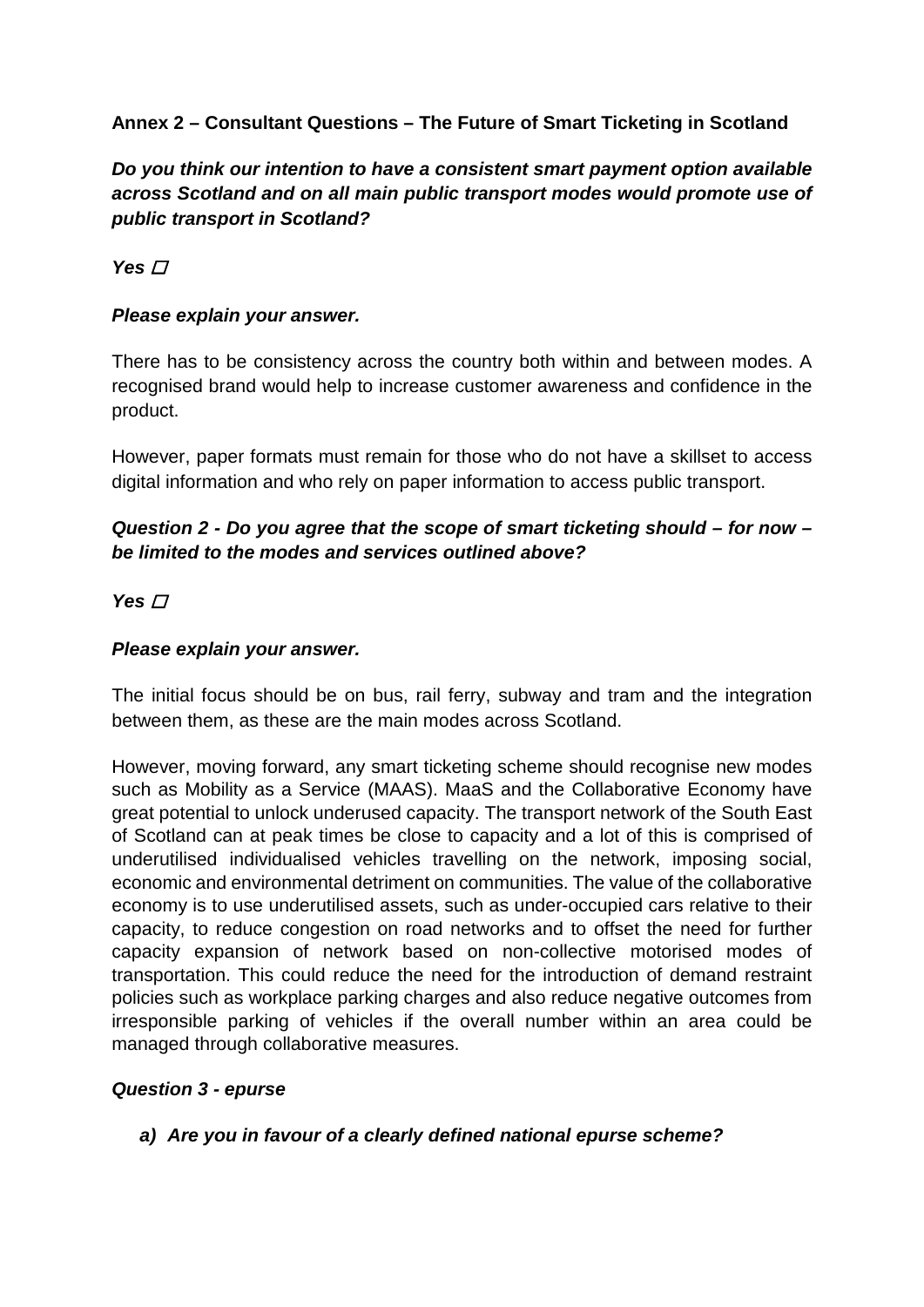# **Annex 2 – Consultant Questions – The Future of Smart Ticketing in Scotland**

*Do you think our intention to have a consistent smart payment option available across Scotland and on all main public transport modes would promote use of public transport in Scotland?* 

 $Yes \nT$ 

#### *Please explain your answer.*

There has to be consistency across the country both within and between modes. A recognised brand would help to increase customer awareness and confidence in the product.

However, paper formats must remain for those who do not have a skillset to access digital information and who rely on paper information to access public transport.

# *Question 2 - Do you agree that the scope of smart ticketing should – for now – be limited to the modes and services outlined above?*

#### Yes **□**

#### *Please explain your answer.*

The initial focus should be on bus, rail ferry, subway and tram and the integration between them, as these are the main modes across Scotland.

However, moving forward, any smart ticketing scheme should recognise new modes such as Mobility as a Service (MAAS). MaaS and the Collaborative Economy have great potential to unlock underused capacity. The transport network of the South East of Scotland can at peak times be close to capacity and a lot of this is comprised of underutilised individualised vehicles travelling on the network, imposing social, economic and environmental detriment on communities. The value of the collaborative economy is to use underutilised assets, such as under-occupied cars relative to their capacity, to reduce congestion on road networks and to offset the need for further capacity expansion of network based on non-collective motorised modes of transportation. This could reduce the need for the introduction of demand restraint policies such as workplace parking charges and also reduce negative outcomes from irresponsible parking of vehicles if the overall number within an area could be managed through collaborative measures.

#### *Question 3 - epurse*

*a) Are you in favour of a clearly defined national epurse scheme?*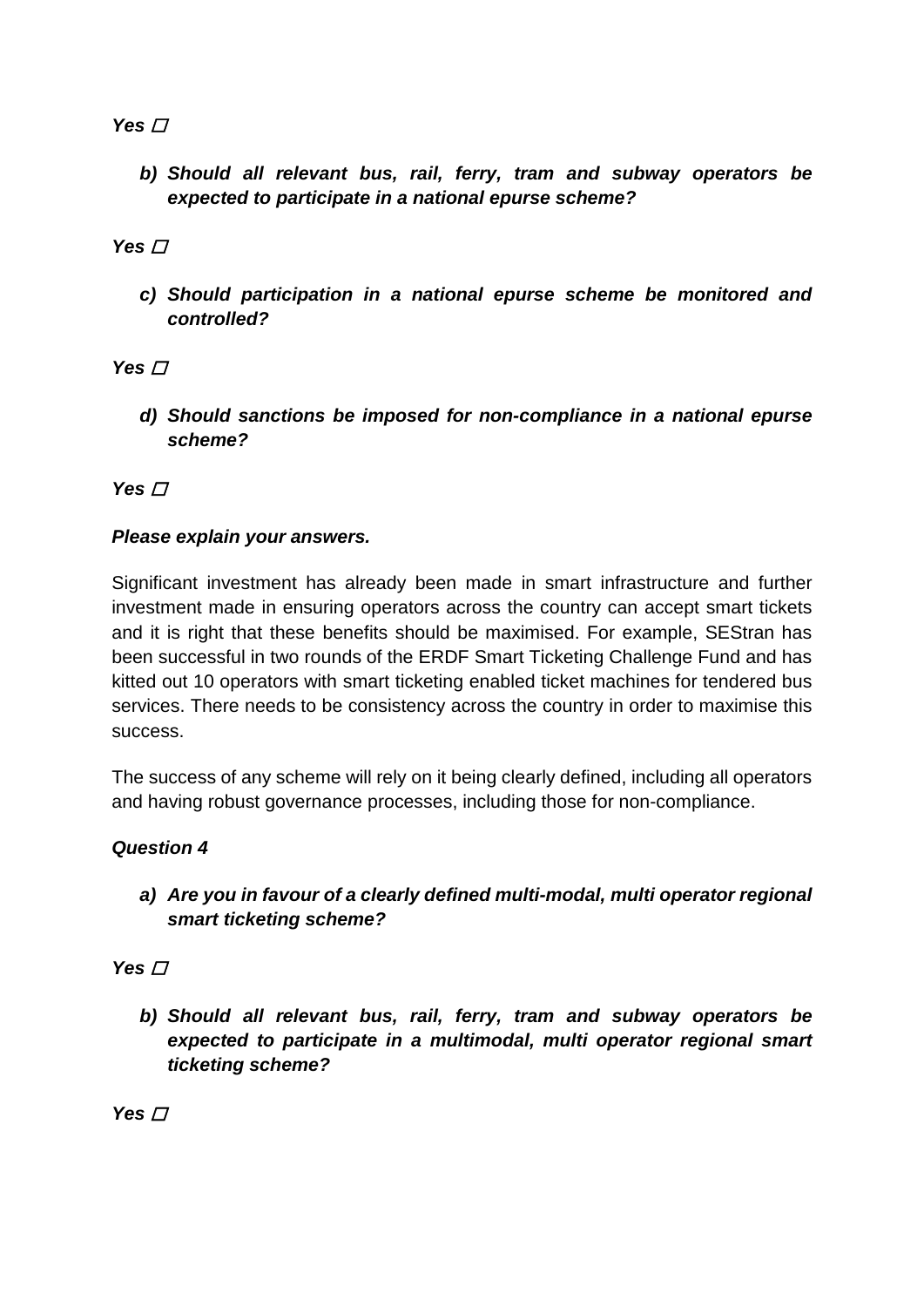## Yes  $\Box$

*b) Should all relevant bus, rail, ferry, tram and subway operators be expected to participate in a national epurse scheme?* 

## Yes **□**

*c) Should participation in a national epurse scheme be monitored and controlled?* 

## Yes  $\Box$

*d) Should sanctions be imposed for non-compliance in a national epurse scheme?*

 $Yes \nightharpoondown$ 

## *Please explain your answers.*

Significant investment has already been made in smart infrastructure and further investment made in ensuring operators across the country can accept smart tickets and it is right that these benefits should be maximised. For example, SEStran has been successful in two rounds of the ERDF Smart Ticketing Challenge Fund and has kitted out 10 operators with smart ticketing enabled ticket machines for tendered bus services. There needs to be consistency across the country in order to maximise this success.

The success of any scheme will rely on it being clearly defined, including all operators and having robust governance processes, including those for non-compliance.

# *Question 4*

*a) Are you in favour of a clearly defined multi-modal, multi operator regional smart ticketing scheme?* 

### $Yes \nI$

*b) Should all relevant bus, rail, ferry, tram and subway operators be expected to participate in a multimodal, multi operator regional smart ticketing scheme?* 

Yes  $\Box$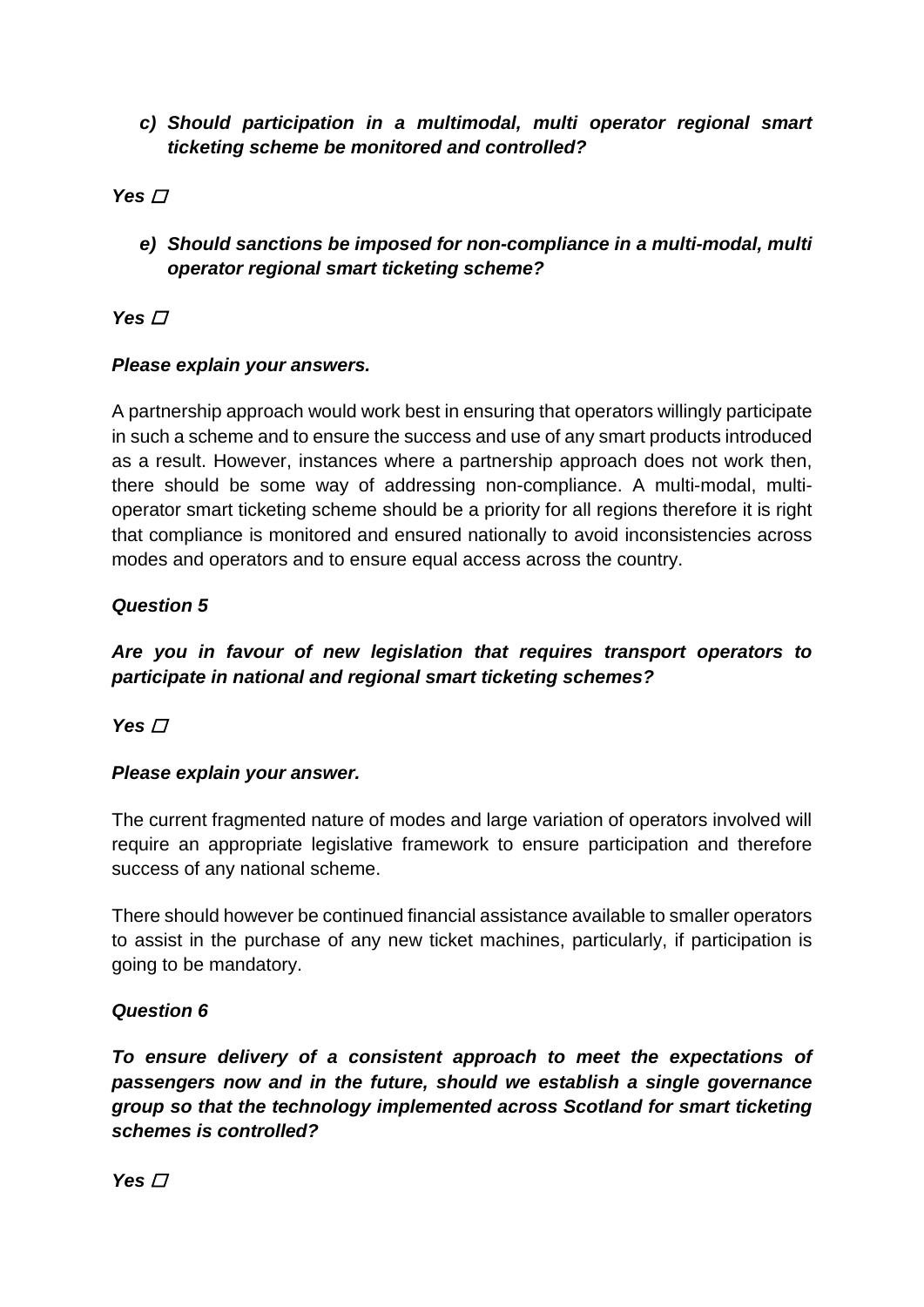## *c) Should participation in a multimodal, multi operator regional smart ticketing scheme be monitored and controlled?*

## **Yes** *□*

*e) Should sanctions be imposed for non-compliance in a multi-modal, multi operator regional smart ticketing scheme?* 

# Yes  $\Box$

### *Please explain your answers.*

A partnership approach would work best in ensuring that operators willingly participate in such a scheme and to ensure the success and use of any smart products introduced as a result. However, instances where a partnership approach does not work then, there should be some way of addressing non-compliance. A multi-modal, multioperator smart ticketing scheme should be a priority for all regions therefore it is right that compliance is monitored and ensured nationally to avoid inconsistencies across modes and operators and to ensure equal access across the country.

### *Question 5*

# *Are you in favour of new legislation that requires transport operators to participate in national and regional smart ticketing schemes?*

Yes  $\Box$ 

### *Please explain your answer.*

The current fragmented nature of modes and large variation of operators involved will require an appropriate legislative framework to ensure participation and therefore success of any national scheme.

There should however be continued financial assistance available to smaller operators to assist in the purchase of any new ticket machines, particularly, if participation is going to be mandatory.

### *Question 6*

*To ensure delivery of a consistent approach to meet the expectations of passengers now and in the future, should we establish a single governance group so that the technology implemented across Scotland for smart ticketing schemes is controlled?* 

Yes  $\Box$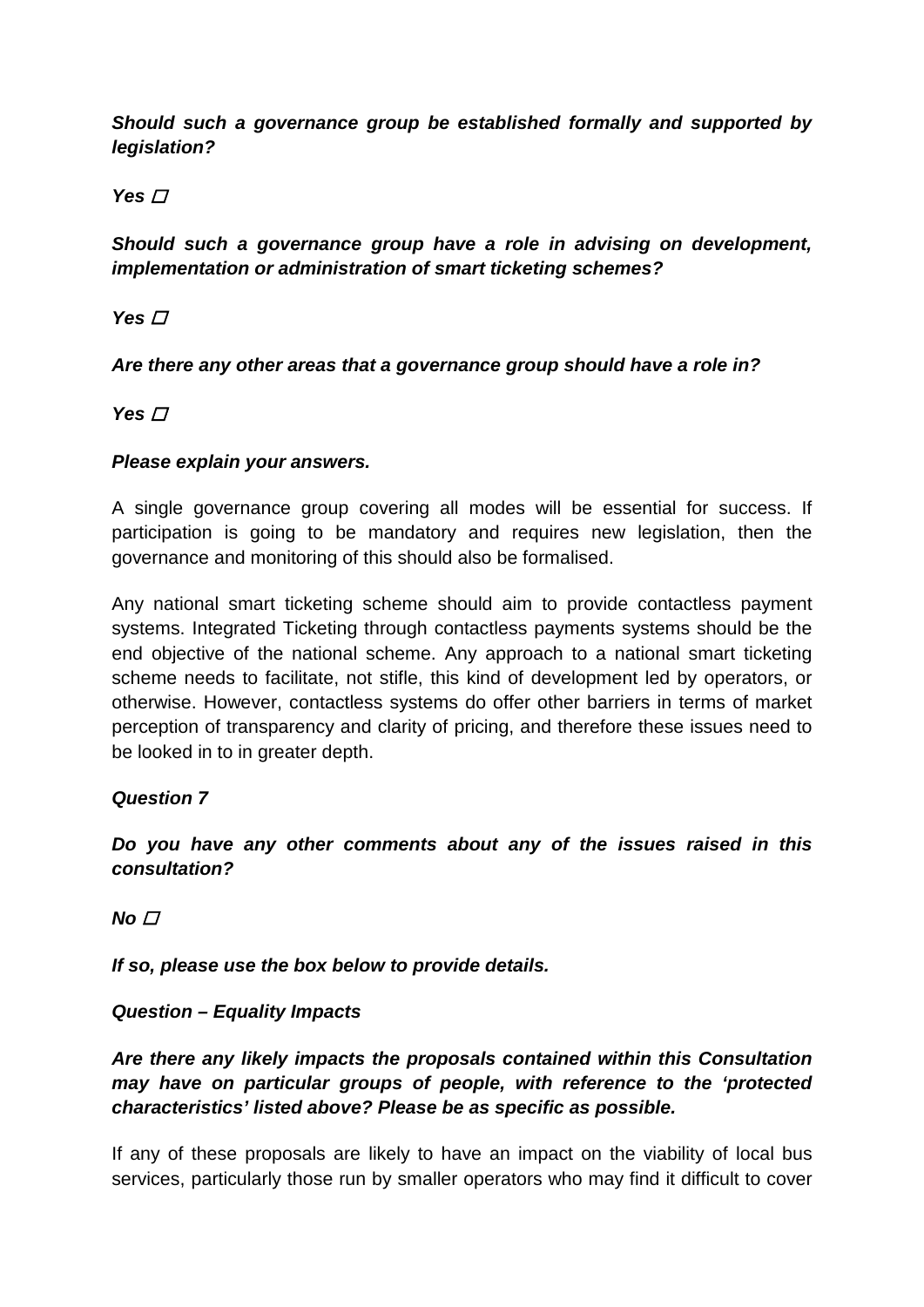*Should such a governance group be established formally and supported by legislation?* 

**Yes** *□* 

*Should such a governance group have a role in advising on development, implementation or administration of smart ticketing schemes?* 

Yes  $\Box$ 

*Are there any other areas that a governance group should have a role in?* 

Yes **□** 

### *Please explain your answers.*

A single governance group covering all modes will be essential for success. If participation is going to be mandatory and requires new legislation, then the governance and monitoring of this should also be formalised.

Any national smart ticketing scheme should aim to provide contactless payment systems. Integrated Ticketing through contactless payments systems should be the end objective of the national scheme. Any approach to a national smart ticketing scheme needs to facilitate, not stifle, this kind of development led by operators, or otherwise. However, contactless systems do offer other barriers in terms of market perception of transparency and clarity of pricing, and therefore these issues need to be looked in to in greater depth.

### *Question 7*

*Do you have any other comments about any of the issues raised in this consultation?* 

 $No<sub>□</sub>$ 

*If so, please use the box below to provide details.* 

# *Question – Equality Impacts*

*Are there any likely impacts the proposals contained within this Consultation may have on particular groups of people, with reference to the 'protected characteristics' listed above? Please be as specific as possible.*

If any of these proposals are likely to have an impact on the viability of local bus services, particularly those run by smaller operators who may find it difficult to cover